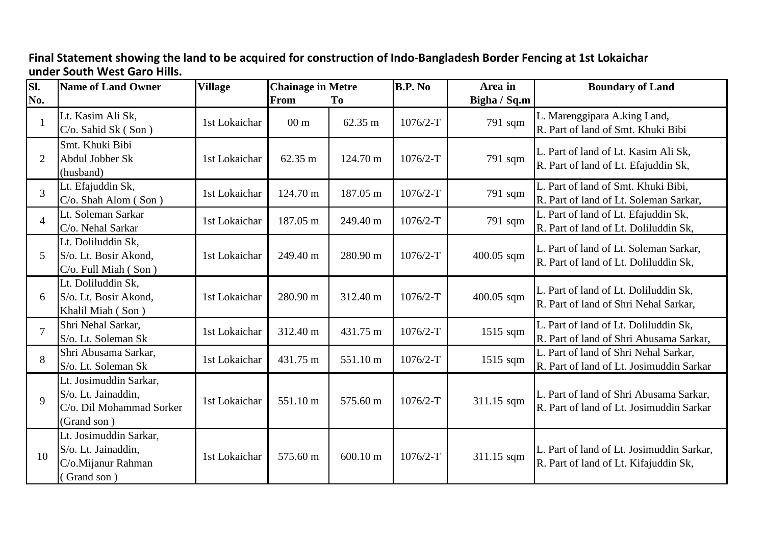## **Final Statement showing the land to be acquired for construction of Indo-Bangladesh Border Fencing at 1st Lokaichar under South West Garo Hills.**

| SI.            | <b>Name of Land Owner</b>                                                                | <b>Village</b> | <b>Chainage in Metre</b> |                    | <b>B.P. No</b> | Area in      | <b>Boundary of Land</b>                                                             |
|----------------|------------------------------------------------------------------------------------------|----------------|--------------------------|--------------------|----------------|--------------|-------------------------------------------------------------------------------------|
| No.            |                                                                                          |                | From                     | To                 |                | Bigha / Sq.m |                                                                                     |
|                | Lt. Kasim Ali Sk,<br>$C/O$ . Sahid Sk (Son)                                              | 1st Lokaichar  | $00 \text{ m}$           | 62.35 m            | $1076/2-T$     | 791 sqm      | L. Marenggipara A.king Land,<br>R. Part of land of Smt. Khuki Bibi                  |
| 2              | Smt. Khuki Bibi<br>Abdul Jobber Sk<br>(husband)                                          | 1st Lokaichar  | $62.35 \text{ m}$        | 124.70 m           | $1076/2-T$     | 791 sqm      | L. Part of land of Lt. Kasim Ali Sk,<br>R. Part of land of Lt. Efajuddin Sk,        |
| $\overline{3}$ | Lt. Efajuddin Sk,<br>C/o. Shah Alom (Son)                                                | 1st Lokaichar  | 124.70 m                 | 187.05 m           | $1076/2-T$     | 791 sqm      | L. Part of land of Smt. Khuki Bibi,<br>R. Part of land of Lt. Soleman Sarkar,       |
| $\overline{4}$ | Lt. Soleman Sarkar<br>C/o. Nehal Sarkar                                                  | 1st Lokaichar  | 187.05 m                 | 249.40 m           | $1076/2-T$     | 791 sqm      | L. Part of land of Lt. Efajuddin Sk,<br>R. Part of land of Lt. Doliluddin Sk,       |
| 5              | Lt. Doliluddin Sk,<br>S/o. Lt. Bosir Akond,<br>C/o. Full Miah (Son)                      | 1st Lokaichar  | 249.40 m                 | 280.90 m           | $1076/2-T$     | 400.05 sqm   | L. Part of land of Lt. Soleman Sarkar,<br>R. Part of land of Lt. Doliluddin Sk,     |
| 6              | Lt. Doliluddin Sk,<br>S/o. Lt. Bosir Akond,<br>Khalil Miah (Son)                         | 1st Lokaichar  | 280.90 m                 | 312.40 m           | $1076/2-T$     | 400.05 sqm   | L. Part of land of Lt. Doliluddin Sk,<br>R. Part of land of Shri Nehal Sarkar,      |
| $\overline{7}$ | Shri Nehal Sarkar,<br>S/o. Lt. Soleman Sk                                                | 1st Lokaichar  | 312.40 m                 | 431.75 m           | $1076/2-T$     | 1515 sqm     | L. Part of land of Lt. Doliluddin Sk,<br>R. Part of land of Shri Abusama Sarkar,    |
| 8              | Shri Abusama Sarkar,<br>S/o. Lt. Soleman Sk                                              | 1st Lokaichar  | 431.75 m                 | 551.10 m           | $1076/2-T$     | $1515$ sqm   | L. Part of land of Shri Nehal Sarkar,<br>R. Part of land of Lt. Josimuddin Sarkar   |
| 9              | Lt. Josimuddin Sarkar,<br>S/o. Lt. Jainaddin,<br>C/o. Dil Mohammad Sorker<br>(Grand son) | 1st Lokaichar  | 551.10 m                 | 575.60 m           | $1076/2-T$     | 311.15 sqm   | L. Part of land of Shri Abusama Sarkar,<br>R. Part of land of Lt. Josimuddin Sarkar |
| 10             | Lt. Josimuddin Sarkar,<br>S/o. Lt. Jainaddin,<br>C/o.Mijanur Rahman<br>(Grand son)       | 1st Lokaichar  | 575.60 m                 | $600.10 \text{ m}$ | $1076/2-T$     | 311.15 sqm   | L. Part of land of Lt. Josimuddin Sarkar,<br>R. Part of land of Lt. Kifajuddin Sk,  |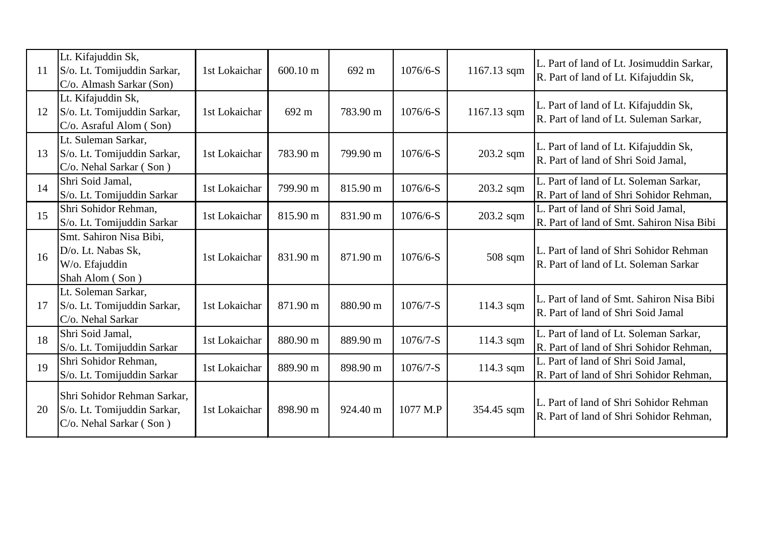| <sup>11</sup> | Lt. Kifajuddin Sk,<br>S/o. Lt. Tomijuddin Sarkar,<br>C/o. Almash Sarkar (Son)         | 1st Lokaichar | $600.10 \text{ m}$ | 692 m    | $1076/6-S$ | 1167.13 sqm | L. Part of land of Lt. Josimuddin Sarkar,<br>R. Part of land of Lt. Kifajuddin Sk, |
|---------------|---------------------------------------------------------------------------------------|---------------|--------------------|----------|------------|-------------|------------------------------------------------------------------------------------|
| 12            | Lt. Kifajuddin Sk,<br>S/o. Lt. Tomijuddin Sarkar,<br>C/o. Asraful Alom (Son)          | 1st Lokaichar | 692 m              | 783.90 m | $1076/6-S$ | 1167.13 sqm | L. Part of land of Lt. Kifajuddin Sk,<br>R. Part of land of Lt. Suleman Sarkar,    |
| 13            | Lt. Suleman Sarkar,<br>S/o. Lt. Tomijuddin Sarkar,<br>C/o. Nehal Sarkar (Son)         | 1st Lokaichar | 783.90 m           | 799.90 m | $1076/6-S$ | 203.2 sqm   | L. Part of land of Lt. Kifajuddin Sk,<br>R. Part of land of Shri Soid Jamal,       |
| 14            | Shri Soid Jamal,<br>S/o. Lt. Tomijuddin Sarkar                                        | 1st Lokaichar | 799.90 m           | 815.90 m | $1076/6-S$ | 203.2 sqm   | L. Part of land of Lt. Soleman Sarkar,<br>R. Part of land of Shri Sohidor Rehman,  |
| 15            | Shri Sohidor Rehman,<br>S/o. Lt. Tomijuddin Sarkar                                    | 1st Lokaichar | 815.90 m           | 831.90 m | $1076/6-S$ | 203.2 sqm   | L. Part of land of Shri Soid Jamal,<br>R. Part of land of Smt. Sahiron Nisa Bibi   |
| 16            | Smt. Sahiron Nisa Bibi,<br>D/o. Lt. Nabas Sk,<br>W/o. Efajuddin<br>Shah Alom (Son)    | 1st Lokaichar | 831.90 m           | 871.90 m | $1076/6-S$ | $508$ sqm   | L. Part of land of Shri Sohidor Rehman<br>R. Part of land of Lt. Soleman Sarkar    |
| 17            | Lt. Soleman Sarkar,<br>S/o. Lt. Tomijuddin Sarkar,<br>C/o. Nehal Sarkar               | 1st Lokaichar | 871.90 m           | 880.90 m | $1076/7-S$ | 114.3 sqm   | L. Part of land of Smt. Sahiron Nisa Bibi<br>R. Part of land of Shri Soid Jamal    |
| 18            | Shri Soid Jamal,<br>S/o. Lt. Tomijuddin Sarkar                                        | 1st Lokaichar | 880.90 m           | 889.90 m | $1076/7-S$ | 114.3 sqm   | L. Part of land of Lt. Soleman Sarkar,<br>R. Part of land of Shri Sohidor Rehman,  |
| 19            | Shri Sohidor Rehman,<br>S/o. Lt. Tomijuddin Sarkar                                    | 1st Lokaichar | 889.90 m           | 898.90 m | $1076/7-S$ | 114.3 sqm   | L. Part of land of Shri Soid Jamal,<br>R. Part of land of Shri Sohidor Rehman,     |
| 20            | Shri Sohidor Rehman Sarkar,<br>S/o. Lt. Tomijuddin Sarkar,<br>C/o. Nehal Sarkar (Son) | 1st Lokaichar | 898.90 m           | 924.40 m | 1077 M.P   | 354.45 sqm  | L. Part of land of Shri Sohidor Rehman<br>R. Part of land of Shri Sohidor Rehman,  |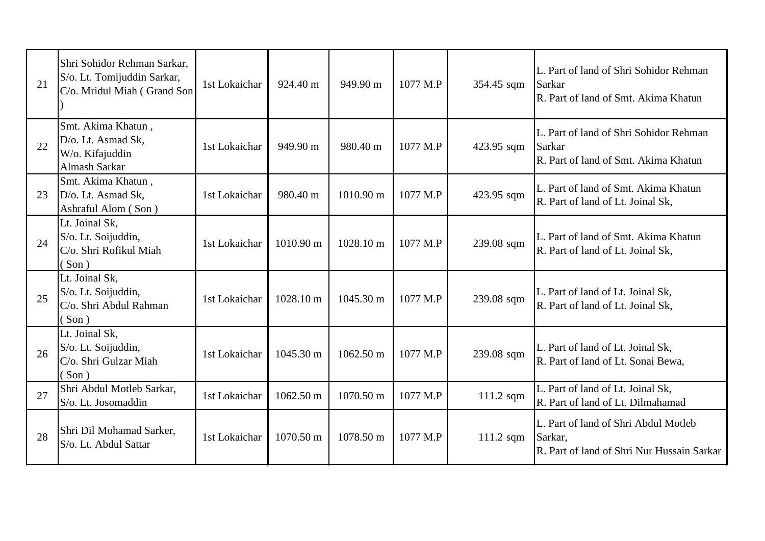| 21 | Shri Sohidor Rehman Sarkar,<br>S/o. Lt. Tomijuddin Sarkar,<br>C/o. Mridul Miah (Grand Son | 1st Lokaichar | 924.40 m  | 949.90 m            | 1077 M.P | 354.45 sqm  | L. Part of land of Shri Sohidor Rehman<br>Sarkar<br>R. Part of land of Smt. Akima Khatun      |
|----|-------------------------------------------------------------------------------------------|---------------|-----------|---------------------|----------|-------------|-----------------------------------------------------------------------------------------------|
| 22 | Smt. Akima Khatun,<br>D/o. Lt. Asmad Sk,<br>W/o. Kifajuddin<br>Almash Sarkar              | 1st Lokaichar | 949.90 m  | 980.40 m            | 1077 M.P | 423.95 sqm  | L. Part of land of Shri Sohidor Rehman<br>Sarkar<br>R. Part of land of Smt. Akima Khatun      |
| 23 | Smt. Akima Khatun,<br>D/o. Lt. Asmad Sk,<br>Ashraful Alom (Son)                           | 1st Lokaichar | 980.40 m  | $1010.90 \text{ m}$ | 1077 M.P | 423.95 sqm  | L. Part of land of Smt. Akima Khatun<br>R. Part of land of Lt. Joinal Sk,                     |
| 24 | Lt. Joinal Sk,<br>S/o. Lt. Soijuddin,<br>C/o. Shri Rofikul Miah<br>$Son$ )                | 1st Lokaichar | 1010.90 m | 1028.10 m           | 1077 M.P | 239.08 sqm  | L. Part of land of Smt. Akima Khatun<br>R. Part of land of Lt. Joinal Sk,                     |
| 25 | Lt. Joinal Sk,<br>S/o. Lt. Soijuddin,<br>C/o. Shri Abdul Rahman<br>(Son)                  | 1st Lokaichar | 1028.10 m | 1045.30 m           | 1077 M.P | 239.08 sqm  | L. Part of land of Lt. Joinal Sk,<br>R. Part of land of Lt. Joinal Sk,                        |
| 26 | Lt. Joinal Sk,<br>S/o. Lt. Soijuddin,<br>C/o. Shri Gulzar Miah<br>$\sin$ )                | 1st Lokaichar | 1045.30 m | 1062.50 m           | 1077 M.P | 239.08 sqm  | L. Part of land of Lt. Joinal Sk,<br>R. Part of land of Lt. Sonai Bewa,                       |
| 27 | Shri Abdul Motleb Sarkar,<br>S/o. Lt. Josomaddin                                          | 1st Lokaichar | 1062.50 m | 1070.50 m           | 1077 M.P | $111.2$ sqm | L. Part of land of Lt. Joinal Sk,<br>R. Part of land of Lt. Dilmahamad                        |
| 28 | Shri Dil Mohamad Sarker,<br>S/o. Lt. Abdul Sattar                                         | 1st Lokaichar | 1070.50 m | 1078.50 m           | 1077 M.P | $111.2$ sqm | L. Part of land of Shri Abdul Motleb<br>Sarkar,<br>R. Part of land of Shri Nur Hussain Sarkar |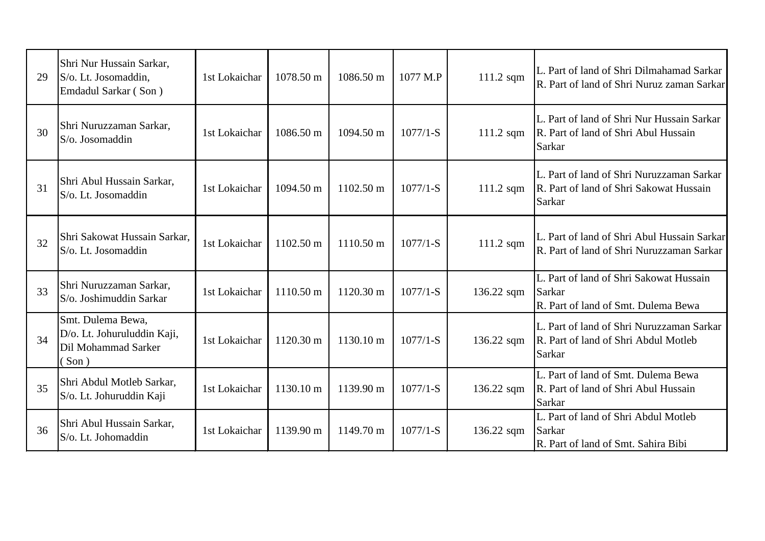| 29 | Shri Nur Hussain Sarkar,<br>S/o. Lt. Josomaddin,<br>Emdadul Sarkar (Son)           | 1st Lokaichar | 1078.50 m | 1086.50 m           | 1077 M.P   | $111.2$ sqm  | L. Part of land of Shri Dilmahamad Sarkar<br>R. Part of land of Shri Nuruz zaman Sarkar        |
|----|------------------------------------------------------------------------------------|---------------|-----------|---------------------|------------|--------------|------------------------------------------------------------------------------------------------|
| 30 | Shri Nuruzzaman Sarkar,<br>S/o. Josomaddin                                         | 1st Lokaichar | 1086.50 m | 1094.50 m           | $1077/1-S$ | $111.2$ sqm  | L. Part of land of Shri Nur Hussain Sarkar<br>R. Part of land of Shri Abul Hussain<br>Sarkar   |
| 31 | Shri Abul Hussain Sarkar,<br>S/o. Lt. Josomaddin                                   | 1st Lokaichar | 1094.50 m | 1102.50 m           | $1077/1-S$ | $111.2$ sqm  | L. Part of land of Shri Nuruzzaman Sarkar<br>R. Part of land of Shri Sakowat Hussain<br>Sarkar |
| 32 | Shri Sakowat Hussain Sarkar,<br>S/o. Lt. Josomaddin                                | 1st Lokaichar | 1102.50 m | 1110.50 m           | $1077/1-S$ | 111.2 sqm    | L. Part of land of Shri Abul Hussain Sarkar<br>R. Part of land of Shri Nuruzzaman Sarkar       |
| 33 | Shri Nuruzzaman Sarkar,<br>S/o. Joshimuddin Sarkar                                 | 1st Lokaichar | 1110.50 m | $1120.30 \text{ m}$ | $1077/1-S$ | $136.22$ sqm | L. Part of land of Shri Sakowat Hussain<br>Sarkar<br>R. Part of land of Smt. Dulema Bewa       |
| 34 | Smt. Dulema Bewa,<br>D/o. Lt. Johuruluddin Kaji,<br>Dil Mohammad Sarker<br>$Son$ ) | 1st Lokaichar | 1120.30 m | 1130.10 m           | $1077/1-S$ | $136.22$ sqm | L. Part of land of Shri Nuruzzaman Sarkar<br>R. Part of land of Shri Abdul Motleb<br>Sarkar    |
| 35 | Shri Abdul Motleb Sarkar,<br>S/o. Lt. Johuruddin Kaji                              | 1st Lokaichar | 1130.10 m | 1139.90 m           | $1077/1-S$ | $136.22$ sqm | L. Part of land of Smt. Dulema Bewa<br>R. Part of land of Shri Abul Hussain<br>Sarkar          |
| 36 | Shri Abul Hussain Sarkar,<br>S/o. Lt. Johomaddin                                   | 1st Lokaichar | 1139.90 m | 1149.70 m           | $1077/1-S$ | 136.22 sqm   | L. Part of land of Shri Abdul Motleb<br>Sarkar<br>R. Part of land of Smt. Sahira Bibi          |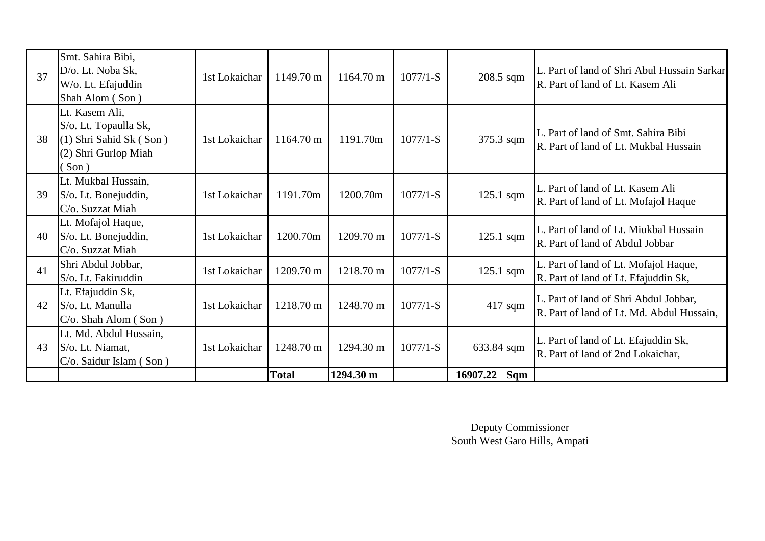| 37 | Smt. Sahira Bibi,<br>D/o. Lt. Noba Sk,<br>W/o. Lt. Efajuddin<br>Shah Alom (Son)                        | 1st Lokaichar | 1149.70 m    | $1164.70 \text{ m}$ | $1077/1-S$ | 208.5 sqm       | L. Part of land of Shri Abul Hussain Sarkar<br>R. Part of land of Lt. Kasem Ali    |
|----|--------------------------------------------------------------------------------------------------------|---------------|--------------|---------------------|------------|-----------------|------------------------------------------------------------------------------------|
| 38 | Lt. Kasem Ali,<br>S/o. Lt. Topaulla Sk,<br>(1) Shri Sahid Sk (Son)<br>(2) Shri Gurlop Miah<br>$\sin$ ) | 1st Lokaichar | 1164.70 m    | 1191.70m            | $1077/1-S$ | 375.3 sqm       | L. Part of land of Smt. Sahira Bibi<br>R. Part of land of Lt. Mukbal Hussain       |
| 39 | Lt. Mukbal Hussain,<br>S/o. Lt. Bonejuddin,<br>C/o. Suzzat Miah                                        | 1st Lokaichar | 1191.70m     | 1200.70m            | $1077/1-S$ | 125.1 sqm       | L. Part of land of Lt. Kasem Ali<br>R. Part of land of Lt. Mofajol Haque           |
| 40 | Lt. Mofajol Haque,<br>S/o. Lt. Bonejuddin,<br>C/o. Suzzat Miah                                         | 1st Lokaichar | 1200.70m     | 1209.70 m           | $1077/1-S$ | $125.1$ sqm     | L. Part of land of Lt. Miukbal Hussain<br>R. Part of land of Abdul Jobbar          |
| 41 | Shri Abdul Jobbar,<br>S/o. Lt. Fakiruddin                                                              | 1st Lokaichar | 1209.70 m    | 1218.70 m           | $1077/1-S$ | $125.1$ sqm     | L. Part of land of Lt. Mofajol Haque,<br>R. Part of land of Lt. Efajuddin Sk,      |
| 42 | Lt. Efajuddin Sk,<br>S/o. Lt. Manulla<br>$C/O$ . Shah Alom $(Son)$                                     | 1st Lokaichar | 1218.70 m    | 1248.70 m           | $1077/1-S$ | $417$ sqm       | L. Part of land of Shri Abdul Jobbar,<br>R. Part of land of Lt. Md. Abdul Hussain, |
| 43 | Lt. Md. Abdul Hussain,<br>S/o. Lt. Niamat,<br>$C/O$ . Saidur Islam (Son)                               | 1st Lokaichar | 1248.70 m    | 1294.30 m           | $1077/1-S$ | 633.84 sqm      | L. Part of land of Lt. Efajuddin Sk,<br>R. Part of land of 2nd Lokaichar,          |
|    |                                                                                                        |               | <b>Total</b> | 1294.30 m           |            | 16907.22<br>Sqm |                                                                                    |

Deputy Commissioner South West Garo Hills, Ampati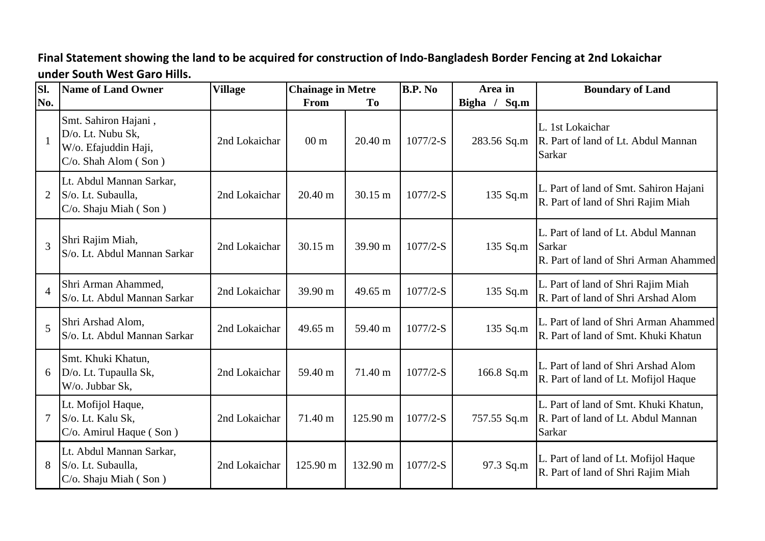**Final Statement showing the land to be acquired for construction of Indo-Bangladesh Border Fencing at 2nd Lokaichar under South West Garo Hills.**

| SI.            | <b>Name of Land Owner</b>                                                                 | <b>Village</b> | <b>Chainage in Metre</b> |                   | <b>B.P. No</b> | Area in         | <b>Boundary of Land</b>                                                                       |
|----------------|-------------------------------------------------------------------------------------------|----------------|--------------------------|-------------------|----------------|-----------------|-----------------------------------------------------------------------------------------------|
| No.            |                                                                                           |                | From                     | To                |                | Bigha /<br>Sq.m |                                                                                               |
| $\mathbf{1}$   | Smt. Sahiron Hajani,<br>D/o. Lt. Nubu Sk,<br>W/o. Efajuddin Haji,<br>C/o. Shah Alom (Son) | 2nd Lokaichar  | 00 <sub>m</sub>          | $20.40 \text{ m}$ | $1077/2-S$     | 283.56 Sq.m     | L. 1st Lokaichar<br>R. Part of land of Lt. Abdul Mannan<br><b>Sarkar</b>                      |
| $\overline{2}$ | Lt. Abdul Mannan Sarkar,<br>S/o. Lt. Subaulla,<br>C/o. Shaju Miah (Son)                   | 2nd Lokaichar  | $20.40 \text{ m}$        | 30.15 m           | $1077/2-S$     | 135 Sq.m        | L. Part of land of Smt. Sahiron Hajani<br>R. Part of land of Shri Rajim Miah                  |
| 3              | Shri Rajim Miah,<br>S/o. Lt. Abdul Mannan Sarkar                                          | 2nd Lokaichar  | $30.15 \text{ m}$        | 39.90 m           | $1077/2-S$     | 135 Sq.m        | L. Part of land of Lt. Abdul Mannan<br>Sarkar<br>R. Part of land of Shri Arman Ahammed        |
| $\overline{4}$ | Shri Arman Ahammed,<br>S/o. Lt. Abdul Mannan Sarkar                                       | 2nd Lokaichar  | 39.90 m                  | 49.65 m           | $1077/2-S$     | 135 Sq.m        | L. Part of land of Shri Rajim Miah<br>R. Part of land of Shri Arshad Alom                     |
| 5              | Shri Arshad Alom,<br>S/o. Lt. Abdul Mannan Sarkar                                         | 2nd Lokaichar  | 49.65 m                  | 59.40 m           | $1077/2-S$     | 135 Sq.m        | L. Part of land of Shri Arman Ahammed<br>R. Part of land of Smt. Khuki Khatun                 |
| 6              | Smt. Khuki Khatun,<br>D/o. Lt. Tupaulla Sk,<br>W/o. Jubbar Sk,                            | 2nd Lokaichar  | 59.40 m                  | 71.40 m           | $1077/2-S$     | 166.8 Sq.m      | L. Part of land of Shri Arshad Alom<br>R. Part of land of Lt. Mofijol Haque                   |
| $\overline{7}$ | Lt. Mofijol Haque,<br>S/o. Lt. Kalu Sk,<br>C/o. Amirul Haque (Son)                        | 2nd Lokaichar  | 71.40 m                  | 125.90 m          | $1077/2-S$     | 757.55 Sq.m     | L. Part of land of Smt. Khuki Khatun,<br>R. Part of land of Lt. Abdul Mannan<br><b>Sarkar</b> |
| 8              | Lt. Abdul Mannan Sarkar,<br>S/o. Lt. Subaulla,<br>C/o. Shaju Miah (Son)                   | 2nd Lokaichar  | 125.90 m                 | 132.90 m          | $1077/2-S$     | 97.3 Sq.m       | L. Part of land of Lt. Mofijol Haque<br>R. Part of land of Shri Rajim Miah                    |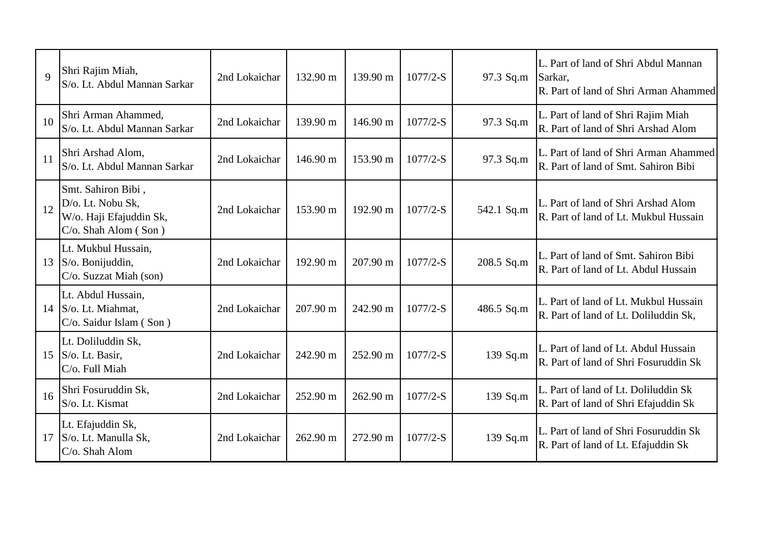| $\mathbf{Q}$ | Shri Rajim Miah,<br>S/o. Lt. Abdul Mannan Sarkar                                              | 2nd Lokaichar | 132.90 m | 139.90 m | $1077/2-S$ | 97.3 Sq.m  | L. Part of land of Shri Abdul Mannan<br>Sarkar,<br>R. Part of land of Shri Arman Ahammed |
|--------------|-----------------------------------------------------------------------------------------------|---------------|----------|----------|------------|------------|------------------------------------------------------------------------------------------|
| 10           | Shri Arman Ahammed,<br>S/o. Lt. Abdul Mannan Sarkar                                           | 2nd Lokaichar | 139.90 m | 146.90 m | $1077/2-S$ | 97.3 Sq.m  | L. Part of land of Shri Rajim Miah<br>R. Part of land of Shri Arshad Alom                |
| 11           | Shri Arshad Alom,<br>S/o. Lt. Abdul Mannan Sarkar                                             | 2nd Lokaichar | 146.90 m | 153.90 m | $1077/2-S$ | 97.3 Sq.m  | L. Part of land of Shri Arman Ahammed<br>R. Part of land of Smt. Sahiron Bibi            |
| 12           | Smt. Sahiron Bibi,<br>D/o. Lt. Nobu Sk,<br>W/o. Haji Efajuddin Sk,<br>$C/O$ . Shah Alom (Son) | 2nd Lokaichar | 153.90 m | 192.90 m | $1077/2-S$ | 542.1 Sq.m | L. Part of land of Shri Arshad Alom<br>R. Part of land of Lt. Mukbul Hussain             |
|              | Lt. Mukbul Hussain,<br>13 $S/\omega$ . Bonijuddin,<br>C/o. Suzzat Miah (son)                  | 2nd Lokaichar | 192.90 m | 207.90 m | $1077/2-S$ | 208.5 Sq.m | L. Part of land of Smt. Sahiron Bibi<br>R. Part of land of Lt. Abdul Hussain             |
|              | Lt. Abdul Hussain,<br>14 $\vert$ S/o. Lt. Miahmat,<br>C/o. Saidur Islam (Son)                 | 2nd Lokaichar | 207.90 m | 242.90 m | $1077/2-S$ | 486.5 Sq.m | L. Part of land of Lt. Mukbul Hussain<br>R. Part of land of Lt. Doliluddin Sk,           |
| 15           | Lt. Doliluddin Sk,<br>S/o. Lt. Basir,<br>C/o. Full Miah                                       | 2nd Lokaichar | 242.90 m | 252.90 m | $1077/2-S$ | 139 Sq.m   | L. Part of land of Lt. Abdul Hussain<br>R. Part of land of Shri Fosuruddin Sk            |
| 16           | Shri Fosuruddin Sk,<br>S/o. Lt. Kismat                                                        | 2nd Lokaichar | 252.90 m | 262.90 m | $1077/2-S$ | 139 Sq.m   | L. Part of land of Lt. Doliluddin Sk<br>R. Part of land of Shri Efajuddin Sk             |
| 17           | Lt. Efajuddin Sk,<br>S/o. Lt. Manulla Sk,<br>$C/O$ . Shah Alom                                | 2nd Lokaichar | 262.90 m | 272.90 m | $1077/2-S$ | 139 Sq.m   | L. Part of land of Shri Fosuruddin Sk<br>R. Part of land of Lt. Efajuddin Sk             |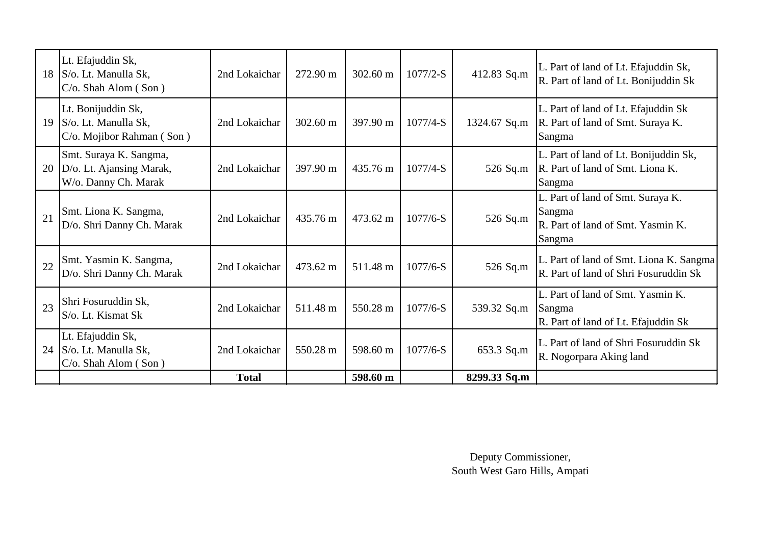|    | Lt. Efajuddin Sk,<br>18 S/o. Lt. Manulla Sk,<br>C/o. Shah Alom (Son)       | 2nd Lokaichar | 272.90 m           | 302.60 m           | $1077/2-S$ | 412.83 Sq.m  | L. Part of land of Lt. Efajuddin Sk,<br>R. Part of land of Lt. Bonijuddin Sk               |
|----|----------------------------------------------------------------------------|---------------|--------------------|--------------------|------------|--------------|--------------------------------------------------------------------------------------------|
| 19 | Lt. Bonijuddin Sk,<br>S/o. Lt. Manulla Sk,<br>C/o. Mojibor Rahman (Son)    | 2nd Lokaichar | $302.60 \text{ m}$ | $397.90 \text{ m}$ | $1077/4-S$ | 1324.67 Sq.m | L. Part of land of Lt. Efajuddin Sk<br>R. Part of land of Smt. Suraya K.<br>Sangma         |
| 20 | Smt. Suraya K. Sangma,<br>D/o. Lt. Ajansing Marak,<br>W/o. Danny Ch. Marak | 2nd Lokaichar | 397.90 m           | 435.76 m           | $1077/4-S$ | 526 Sq.m     | L. Part of land of Lt. Bonijuddin Sk,<br>R. Part of land of Smt. Liona K.<br>Sangma        |
| 21 | Smt. Liona K. Sangma,<br>D/o. Shri Danny Ch. Marak                         | 2nd Lokaichar | 435.76 m           | $473.62 \text{ m}$ | $1077/6-S$ | 526 Sq.m     | L. Part of land of Smt. Suraya K.<br>Sangma<br>R. Part of land of Smt. Yasmin K.<br>Sangma |
| 22 | Smt. Yasmin K. Sangma,<br>D/o. Shri Danny Ch. Marak                        | 2nd Lokaichar | 473.62 m           | 511.48 m           | $1077/6-S$ | 526 Sq.m     | L. Part of land of Smt. Liona K. Sangma<br>R. Part of land of Shri Fosuruddin Sk           |
| 23 | Shri Fosuruddin Sk,<br>S/o. Lt. Kismat Sk                                  | 2nd Lokaichar | 511.48 m           | 550.28 m           | $1077/6-S$ | 539.32 Sq.m  | L. Part of land of Smt. Yasmin K.<br>Sangma<br>R. Part of land of Lt. Efajuddin Sk         |
| 24 | Lt. Efajuddin Sk,<br>S/o. Lt. Manulla Sk,<br>$C/O$ . Shah Alom (Son)       | 2nd Lokaichar | 550.28 m           | 598.60 m           | $1077/6-S$ | 653.3 Sq.m   | L. Part of land of Shri Fosuruddin Sk<br>R. Nogorpara Aking land                           |
|    |                                                                            | <b>Total</b>  |                    | 598.60 m           |            | 8299.33 Sq.m |                                                                                            |

Deputy Commissioner, South West Garo Hills, Ampati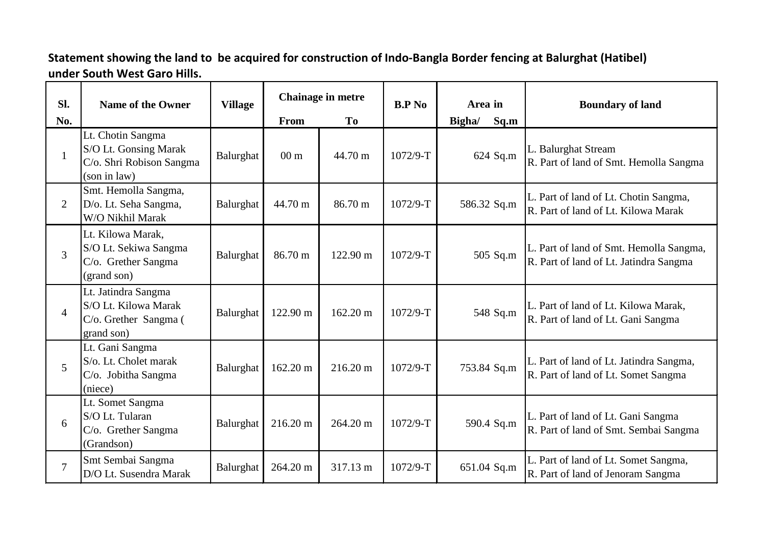## **Statement showing the land to be acquired for construction of Indo-Bangla Border fencing at Balurghat (Hatibel) under South West Garo Hills.**

| SI.            | <b>Name of the Owner</b>                                                               | <b>Village</b> |                 | Chainage in metre |            | Area in        | <b>Boundary of land</b>                                                           |
|----------------|----------------------------------------------------------------------------------------|----------------|-----------------|-------------------|------------|----------------|-----------------------------------------------------------------------------------|
| No.            |                                                                                        |                | From            | To                |            | Sq.m<br>Bigha/ |                                                                                   |
| $\mathbf{1}$   | Lt. Chotin Sangma<br>S/O Lt. Gonsing Marak<br>C/o. Shri Robison Sangma<br>(son in law) | Balurghat      | 00 <sub>m</sub> | 44.70 m           | $1072/9-T$ | 624 Sq.m       | L. Balurghat Stream<br>R. Part of land of Smt. Hemolla Sangma                     |
| $\overline{2}$ | Smt. Hemolla Sangma,<br>D/o. Lt. Seha Sangma,<br>W/O Nikhil Marak                      | Balurghat      | 44.70 m         | 86.70 m           | $1072/9-T$ | 586.32 Sq.m    | L. Part of land of Lt. Chotin Sangma,<br>R. Part of land of Lt. Kilowa Marak      |
| $\overline{3}$ | Lt. Kilowa Marak,<br>S/O Lt. Sekiwa Sangma<br>C/o. Grether Sangma<br>(grand son)       | Balurghat      | 86.70 m         | 122.90 m          | 1072/9-T   | 505 Sq.m       | L. Part of land of Smt. Hemolla Sangma,<br>R. Part of land of Lt. Jatindra Sangma |
| $\overline{4}$ | Lt. Jatindra Sangma<br>S/O Lt. Kilowa Marak<br>C/o. Grether Sangma (<br>grand son)     | Balurghat      | 122.90 m        | 162.20 m          | $1072/9-T$ | 548 Sq.m       | L. Part of land of Lt. Kilowa Marak,<br>R. Part of land of Lt. Gani Sangma        |
| 5              | Lt. Gani Sangma<br>S/o. Lt. Cholet marak<br>C/o. Jobitha Sangma<br>(niece)             | Balurghat      | 162.20 m        | 216.20 m          | $1072/9-T$ | 753.84 Sq.m    | L. Part of land of Lt. Jatindra Sangma,<br>R. Part of land of Lt. Somet Sangma    |
| 6              | Lt. Somet Sangma<br>S/O Lt. Tularan<br>C/o. Grether Sangma<br>(Grandson)               | Balurghat      | 216.20 m        | 264.20 m          | $1072/9-T$ | 590.4 Sq.m     | L. Part of land of Lt. Gani Sangma<br>R. Part of land of Smt. Sembai Sangma       |
| $\overline{7}$ | Smt Sembai Sangma<br>D/O Lt. Susendra Marak                                            | Balurghat      | 264.20 m        | 317.13 m          | 1072/9-T   | 651.04 Sq.m    | L. Part of land of Lt. Somet Sangma,<br>R. Part of land of Jenoram Sangma         |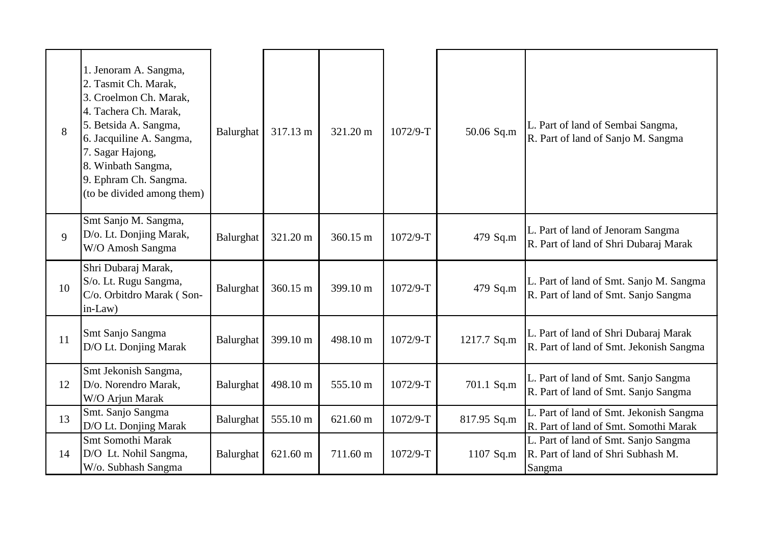| 8  | 1. Jenoram A. Sangma,<br>2. Tasmit Ch. Marak,<br>3. Croelmon Ch. Marak,<br>4. Tachera Ch. Marak,<br>5. Betsida A. Sangma,<br>6. Jacquiline A. Sangma,<br>7. Sagar Hajong,<br>8. Winbath Sangma,<br>9. Ephram Ch. Sangma.<br>(to be divided among them) | Balurghat | 317.13 m | 321.20 m | 1072/9-T   | 50.06 Sq.m  | L. Part of land of Sembai Sangma,<br>R. Part of land of Sanjo M. Sangma              |
|----|--------------------------------------------------------------------------------------------------------------------------------------------------------------------------------------------------------------------------------------------------------|-----------|----------|----------|------------|-------------|--------------------------------------------------------------------------------------|
| 9  | Smt Sanjo M. Sangma,<br>D/o. Lt. Donjing Marak,<br>W/O Amosh Sangma                                                                                                                                                                                    | Balurghat | 321.20 m | 360.15 m | $1072/9-T$ | 479 Sq.m    | L. Part of land of Jenoram Sangma<br>R. Part of land of Shri Dubaraj Marak           |
| 10 | Shri Dubaraj Marak,<br>S/o. Lt. Rugu Sangma,<br>C/o. Orbitdro Marak (Son-<br>in-Law)                                                                                                                                                                   | Balurghat | 360.15 m | 399.10 m | $1072/9-T$ | 479 Sq.m    | L. Part of land of Smt. Sanjo M. Sangma<br>R. Part of land of Smt. Sanjo Sangma      |
| 11 | Smt Sanjo Sangma<br>D/O Lt. Donjing Marak                                                                                                                                                                                                              | Balurghat | 399.10 m | 498.10 m | $1072/9-T$ | 1217.7 Sq.m | L. Part of land of Shri Dubaraj Marak<br>R. Part of land of Smt. Jekonish Sangma     |
| 12 | Smt Jekonish Sangma,<br>D/o. Norendro Marak,<br>W/O Arjun Marak                                                                                                                                                                                        | Balurghat | 498.10 m | 555.10 m | 1072/9-T   | 701.1 Sq.m  | L. Part of land of Smt. Sanjo Sangma<br>R. Part of land of Smt. Sanjo Sangma         |
| 13 | Smt. Sanjo Sangma<br>D/O Lt. Donjing Marak                                                                                                                                                                                                             | Balurghat | 555.10 m | 621.60 m | 1072/9-T   | 817.95 Sq.m | L. Part of land of Smt. Jekonish Sangma<br>R. Part of land of Smt. Somothi Marak     |
| 14 | Smt Somothi Marak<br>D/O Lt. Nohil Sangma,<br>W/o. Subhash Sangma                                                                                                                                                                                      | Balurghat | 621.60 m | 711.60 m | 1072/9-T   | 1107 Sq.m   | L. Part of land of Smt. Sanjo Sangma<br>R. Part of land of Shri Subhash M.<br>Sangma |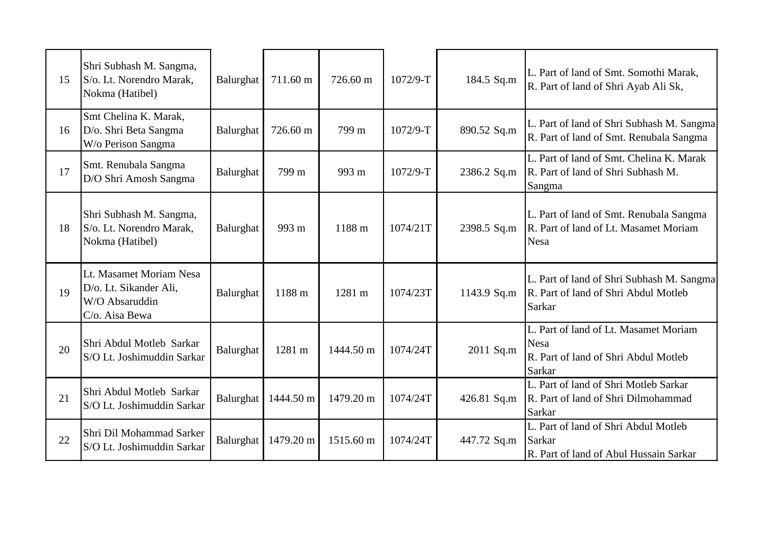| 15 | Shri Subhash M. Sangma,<br>S/o. Lt. Norendro Marak,<br>Nokma (Hatibel)                | Balurghat | 711.60 m  | 726.60 m  | $1072/9-T$ | 184.5 Sq.m  | L. Part of land of Smt. Somothi Marak,<br>R. Part of land of Shri Ayab Ali Sk,                                |
|----|---------------------------------------------------------------------------------------|-----------|-----------|-----------|------------|-------------|---------------------------------------------------------------------------------------------------------------|
| 16 | Smt Chelina K. Marak,<br>D/o. Shri Beta Sangma<br>W/o Perison Sangma                  | Balurghat | 726.60 m  | 799 m     | $1072/9-T$ | 890.52 Sq.m | L. Part of land of Shri Subhash M. Sangma<br>R. Part of land of Smt. Renubala Sangma                          |
| 17 | Smt. Renubala Sangma<br>D/O Shri Amosh Sangma                                         | Balurghat | 799 m     | 993 m     | 1072/9-T   | 2386.2 Sq.m | L. Part of land of Smt. Chelina K. Marak<br>R. Part of land of Shri Subhash M.<br>Sangma                      |
| 18 | Shri Subhash M. Sangma,<br>S/o. Lt. Norendro Marak,<br>Nokma (Hatibel)                | Balurghat | 993 m     | 1188 m    | 1074/21T   | 2398.5 Sq.m | L. Part of land of Smt. Renubala Sangma<br>R. Part of land of Lt. Masamet Moriam<br><b>Nesa</b>               |
| 19 | Lt. Masamet Moriam Nesa<br>D/o. Lt. Sikander Ali,<br>W/O Absaruddin<br>C/o. Aisa Bewa | Balurghat | 1188 m    | 1281 m    | 1074/23T   | 1143.9 Sq.m | L. Part of land of Shri Subhash M. Sangma<br>R. Part of land of Shri Abdul Motleb<br><b>Sarkar</b>            |
| 20 | Shri Abdul Motleb Sarkar<br>S/O Lt. Joshimuddin Sarkar                                | Balurghat | 1281 m    | 1444.50 m | 1074/24T   | 2011 Sq.m   | L. Part of land of Lt. Masamet Moriam<br><b>Nesa</b><br>R. Part of land of Shri Abdul Motleb<br><b>Sarkar</b> |
| 21 | Shri Abdul Motleb Sarkar<br>S/O Lt. Joshimuddin Sarkar                                | Balurghat | 1444.50 m | 1479.20 m | 1074/24T   | 426.81 Sq.m | L. Part of land of Shri Motleb Sarkar<br>R. Part of land of Shri Dilmohammad<br><b>Sarkar</b>                 |
| 22 | Shri Dil Mohammad Sarker<br>S/O Lt. Joshimuddin Sarkar                                | Balurghat | 1479.20 m | 1515.60 m | 1074/24T   | 447.72 Sq.m | L. Part of land of Shri Abdul Motleb<br>Sarkar<br>R. Part of land of Abul Hussain Sarkar                      |